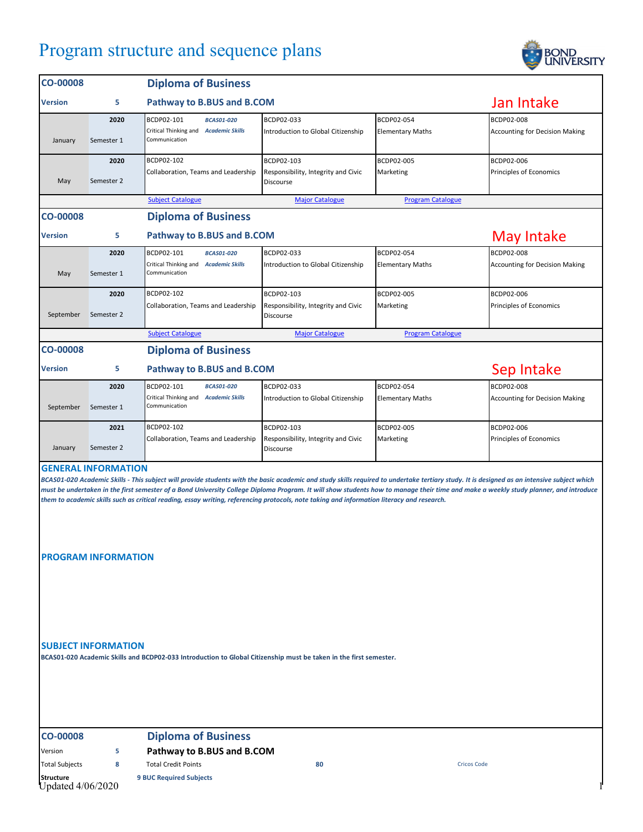## Program structure and sequence plans



| <b>CO-00008</b>                                                                                                                                                                                                                                                                                                                                                                                                                                                                                                                                                                               |                    | <b>Diploma of Business</b>                                                                |                                                                       |                                       |                                                     |  |  |
|-----------------------------------------------------------------------------------------------------------------------------------------------------------------------------------------------------------------------------------------------------------------------------------------------------------------------------------------------------------------------------------------------------------------------------------------------------------------------------------------------------------------------------------------------------------------------------------------------|--------------------|-------------------------------------------------------------------------------------------|-----------------------------------------------------------------------|---------------------------------------|-----------------------------------------------------|--|--|
| <b>Version</b>                                                                                                                                                                                                                                                                                                                                                                                                                                                                                                                                                                                | 5                  | Pathway to B.BUS and B.COM                                                                |                                                                       |                                       | Jan Intake                                          |  |  |
| January                                                                                                                                                                                                                                                                                                                                                                                                                                                                                                                                                                                       | 2020<br>Semester 1 | BCDP02-101<br><b>BCAS01-020</b><br>Critical Thinking and Academic Skills<br>Communication | BCDP02-033<br>Introduction to Global Citizenship                      | BCDP02-054<br><b>Elementary Maths</b> | BCDP02-008<br><b>Accounting for Decision Making</b> |  |  |
| May                                                                                                                                                                                                                                                                                                                                                                                                                                                                                                                                                                                           | 2020<br>Semester 2 | BCDP02-102<br>Collaboration, Teams and Leadership                                         | BCDP02-103<br>Responsibility, Integrity and Civic<br><b>Discourse</b> | BCDP02-005<br>Marketing               | BCDP02-006<br>Principles of Economics               |  |  |
|                                                                                                                                                                                                                                                                                                                                                                                                                                                                                                                                                                                               |                    | <b>Subject Catalogue</b>                                                                  | <b>Major Catalogue</b>                                                | <b>Program Catalogue</b>              |                                                     |  |  |
| <b>CO-00008</b>                                                                                                                                                                                                                                                                                                                                                                                                                                                                                                                                                                               |                    | <b>Diploma of Business</b>                                                                |                                                                       |                                       |                                                     |  |  |
| <b>Version</b>                                                                                                                                                                                                                                                                                                                                                                                                                                                                                                                                                                                | 5                  | Pathway to B.BUS and B.COM                                                                |                                                                       |                                       | <b>May Intake</b>                                   |  |  |
| May                                                                                                                                                                                                                                                                                                                                                                                                                                                                                                                                                                                           | 2020<br>Semester 1 | BCDP02-101<br><b>BCAS01-020</b><br>Critical Thinking and Academic Skills<br>Communication | BCDP02-033<br>Introduction to Global Citizenship                      | BCDP02-054<br><b>Elementary Maths</b> | BCDP02-008<br><b>Accounting for Decision Making</b> |  |  |
| September                                                                                                                                                                                                                                                                                                                                                                                                                                                                                                                                                                                     | 2020<br>Semester 2 | BCDP02-102<br>Collaboration, Teams and Leadership                                         | BCDP02-103<br>Responsibility, Integrity and Civic<br>Discourse        | BCDP02-005<br>Marketing               | BCDP02-006<br>Principles of Economics               |  |  |
|                                                                                                                                                                                                                                                                                                                                                                                                                                                                                                                                                                                               |                    | <b>Subject Catalogue</b>                                                                  | <b>Major Catalogue</b>                                                | <b>Program Catalogue</b>              |                                                     |  |  |
| <b>CO-00008</b>                                                                                                                                                                                                                                                                                                                                                                                                                                                                                                                                                                               |                    | <b>Diploma of Business</b>                                                                |                                                                       |                                       |                                                     |  |  |
| <b>Version</b>                                                                                                                                                                                                                                                                                                                                                                                                                                                                                                                                                                                | 5                  | Pathway to B.BUS and B.COM                                                                |                                                                       |                                       | Sep Intake                                          |  |  |
| September                                                                                                                                                                                                                                                                                                                                                                                                                                                                                                                                                                                     | 2020<br>Semester 1 | BCDP02-101<br><b>BCAS01-020</b><br>Critical Thinking and Academic Skills<br>Communication | BCDP02-033<br>Introduction to Global Citizenship                      | BCDP02-054<br><b>Elementary Maths</b> | BCDP02-008<br><b>Accounting for Decision Making</b> |  |  |
| January                                                                                                                                                                                                                                                                                                                                                                                                                                                                                                                                                                                       | 2021<br>Semester 2 | BCDP02-102<br>Collaboration, Teams and Leadership                                         | BCDP02-103<br>Responsibility, Integrity and Civic<br>Discourse        | BCDP02-005<br>Marketing               | BCDP02-006<br>Principles of Economics               |  |  |
| <b>GENERAL INFORMATION</b><br>BCAS01-020 Academic Skills - This subject will provide students with the basic academic and study skills required to undertake tertiary study. It is designed as an intensive subject which<br>must be undertaken in the first semester of a Bond University College Diploma Program. It will show students how to manage their time and make a weekly study planner, and introduce<br>them to academic skills such as critical reading, essay writing, referencing protocols, note taking and information literacy and research.<br><b>PROGRAM INFORMATION</b> |                    |                                                                                           |                                                                       |                                       |                                                     |  |  |
| <b>SUBJECT INFORMATION</b><br>BCAS01-020 Academic Skills and BCDP02-033 Introduction to Global Citizenship must be taken in the first semester.                                                                                                                                                                                                                                                                                                                                                                                                                                               |                    |                                                                                           |                                                                       |                                       |                                                     |  |  |

## **CO-00008 Diploma of Business**

**Structure 9 BUC Required Subjects** Updated 4/06/2020 1

Version **5 Pathway to B.BUS and B.COM** Total Subjects **8** Total Credit Points **80** Cricos Code